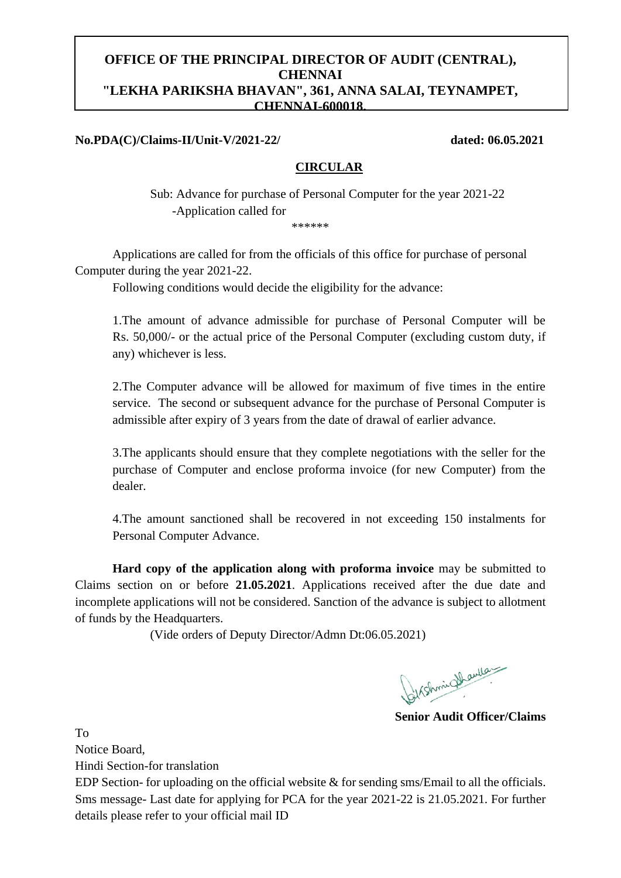# **OFFICE OF THE PRINCIPAL DIRECTOR OF AUDIT (CENTRAL), CHENNAI "LEKHA PARIKSHA BHAVAN", 361, ANNA SALAI, TEYNAMPET, CHENNAI-600018.**

## **No.PDA(C)/Claims-II/Unit-V/2021-22/ dated: 06.05.2021**

### **CIRCULAR**

Sub: Advance for purchase of Personal Computer for the year 2021-22 -Application called for \*\*\*\*\*\*

Applications are called for from the officials of this office for purchase of personal Computer during the year 2021-22.

Following conditions would decide the eligibility for the advance:

1.The amount of advance admissible for purchase of Personal Computer will be Rs. 50,000/- or the actual price of the Personal Computer (excluding custom duty, if any) whichever is less.

2.The Computer advance will be allowed for maximum of five times in the entire service. The second or subsequent advance for the purchase of Personal Computer is admissible after expiry of 3 years from the date of drawal of earlier advance.

3.The applicants should ensure that they complete negotiations with the seller for the purchase of Computer and enclose proforma invoice (for new Computer) from the dealer.

4.The amount sanctioned shall be recovered in not exceeding 150 instalments for Personal Computer Advance.

**Hard copy of the application along with proforma invoice** may be submitted to Claims section on or before **21.05.2021**. Applications received after the due date and incomplete applications will not be considered. Sanction of the advance is subject to allotment of funds by the Headquarters.

(Vide orders of Deputy Director/Admn Dt:06.05.2021)

Syrshminghaulan

**Senior Audit Officer/Claims**

To

Notice Board,

Hindi Section-for translation

EDP Section- for uploading on the official website & for sending sms/Email to all the officials. Sms message- Last date for applying for PCA for the year 2021-22 is 21.05.2021. For further details please refer to your official mail ID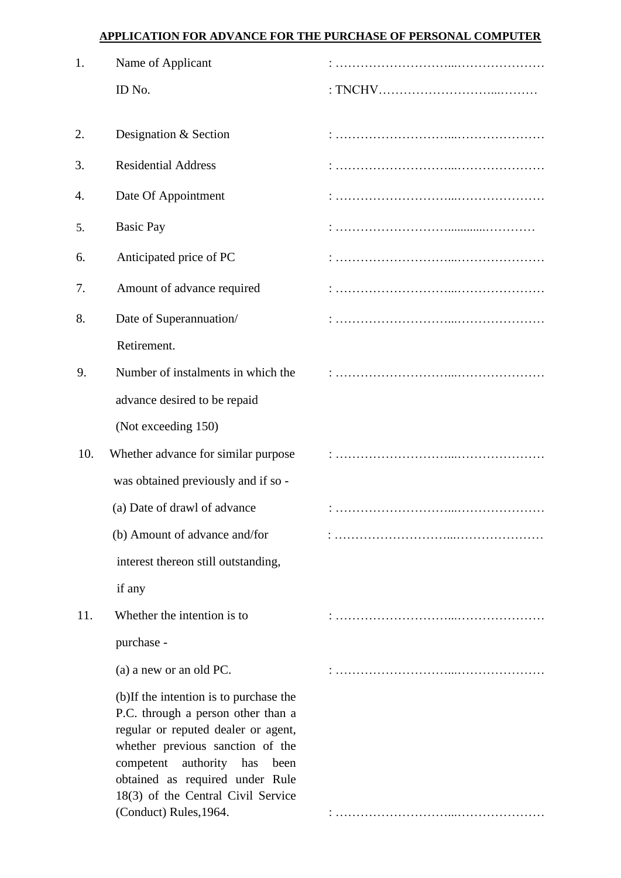# **APPLICATION FOR ADVANCE FOR THE PURCHASE OF PERSONAL COMPUTER**

| 1.  | Name of Applicant                                                                                                                                                                                                                                                                                   |  |
|-----|-----------------------------------------------------------------------------------------------------------------------------------------------------------------------------------------------------------------------------------------------------------------------------------------------------|--|
|     | ID No.                                                                                                                                                                                                                                                                                              |  |
|     |                                                                                                                                                                                                                                                                                                     |  |
| 2.  | Designation & Section                                                                                                                                                                                                                                                                               |  |
| 3.  | <b>Residential Address</b>                                                                                                                                                                                                                                                                          |  |
| 4.  | Date Of Appointment                                                                                                                                                                                                                                                                                 |  |
| 5.  | <b>Basic Pay</b>                                                                                                                                                                                                                                                                                    |  |
| 6.  | Anticipated price of PC                                                                                                                                                                                                                                                                             |  |
| 7.  | Amount of advance required                                                                                                                                                                                                                                                                          |  |
| 8.  | Date of Superannuation/                                                                                                                                                                                                                                                                             |  |
|     | Retirement.                                                                                                                                                                                                                                                                                         |  |
| 9.  | Number of instalments in which the                                                                                                                                                                                                                                                                  |  |
|     | advance desired to be repaid                                                                                                                                                                                                                                                                        |  |
|     | (Not exceeding 150)                                                                                                                                                                                                                                                                                 |  |
| 10. | Whether advance for similar purpose                                                                                                                                                                                                                                                                 |  |
|     | was obtained previously and if so -                                                                                                                                                                                                                                                                 |  |
|     | (a) Date of drawl of advance                                                                                                                                                                                                                                                                        |  |
|     | (b) Amount of advance and/for                                                                                                                                                                                                                                                                       |  |
|     | interest thereon still outstanding,                                                                                                                                                                                                                                                                 |  |
|     | if any                                                                                                                                                                                                                                                                                              |  |
| 11. | Whether the intention is to                                                                                                                                                                                                                                                                         |  |
|     | purchase -                                                                                                                                                                                                                                                                                          |  |
|     | (a) a new or an old PC.                                                                                                                                                                                                                                                                             |  |
|     | (b)If the intention is to purchase the<br>P.C. through a person other than a<br>regular or reputed dealer or agent,<br>whether previous sanction of the<br>authority<br>competent<br>has<br>been<br>obtained as required under Rule<br>18(3) of the Central Civil Service<br>(Conduct) Rules, 1964. |  |
|     |                                                                                                                                                                                                                                                                                                     |  |